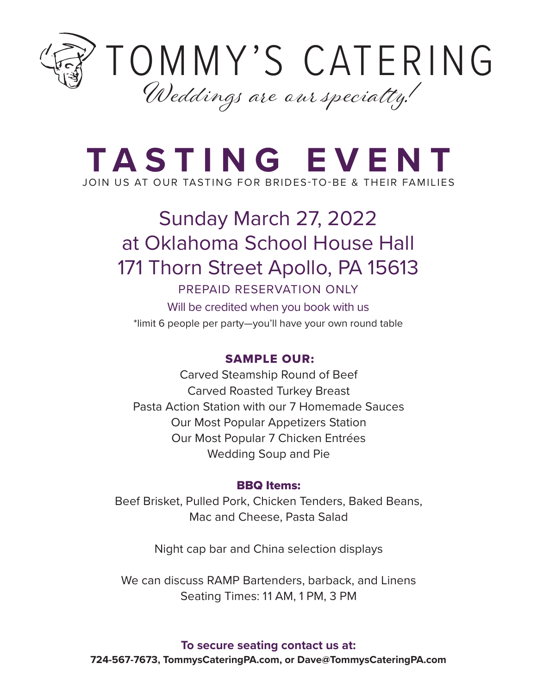

# **TASTING EVENT** JOIN US AT OUR TASTING FOR BRIDES-TO-BE & THEIR FAMILIES

# Sunday March 27, 2022 at Oklahoma School House Hall 171 Thorn Street Apollo, PA 15613

# PREPAID RESERVATION ONLY

Will be credited when you book with us \*limit 6 people per party —you'll have your own round table

# SAMPLE OUR:

Carved Steamship Round of Beef Carved Roasted Turkey Breast Pasta Action Station with our 7 Homemade Sauces Our Most Popular Appetizers Station Our Most Popular 7 Chicken Entrées Wedding Soup and Pie

# BBQ Items:

Beef Brisket, Pulled Pork, Chicken Tenders, Baked Beans, Mac and Cheese, Pasta Salad

Night cap bar and China selection displays

We can discuss RAMP Bartenders, barback, and Linens Seating Times: 11 AM, 1 PM, 3 PM

**To secure seating contact us at: 724-567-7673, TommysCateringPA.com, or Dave@TommysCateringPA.com**